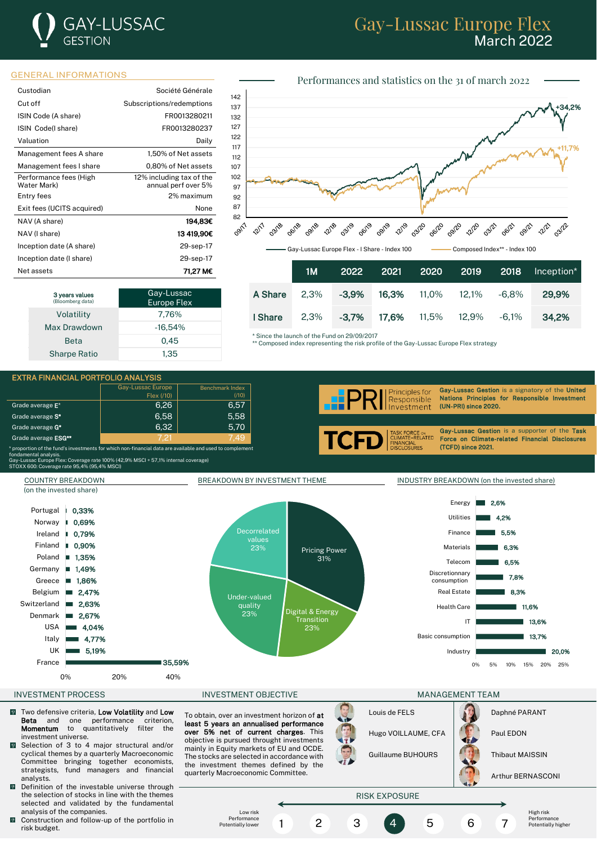# **GAY-LUSSAC** GESTION

## Gay-Lussac Europe Flex March 2022

### GENERAL INFORMATIONS

| Custodian                             | Société Générale                                |
|---------------------------------------|-------------------------------------------------|
| Cut off                               | Subscriptions/redemptions                       |
| ISIN Code (A share)                   | FR0013280211                                    |
| ISIN Code(I share)                    | FR0013280237                                    |
| Valuation                             | Daily                                           |
| Management fees A share               | 1,50% of Net assets                             |
| Management fees I share               | 0,80% of Net assets                             |
| Performance fees (High<br>Water Mark) | 12% including tax of the<br>annual perf over 5% |
| Entry fees                            | 2% maximum                                      |
| Exit fees (UCITS acquired)            | None                                            |
| NAV (A share)                         | 194.83€                                         |
| NAV (I share)                         | 13419.90C                                       |
| Inception date (A share)              | 29-sep-17                                       |
| Inception date (I share)              | 29-sep-17                                       |
| Net assets                            | 71.27 M€                                        |

| 3 years values<br>(Bloomberg data) | Gay-Lussac<br><b>Europe Flex</b> |
|------------------------------------|----------------------------------|
| Volatility                         | 7,76%                            |
| Max Drawdown                       | $-16.54%$                        |
| <b>Beta</b>                        | 0.45                             |
| <b>Sharpe Ratio</b>                | 1.35                             |



|         |         |          |  |                                  | 1M 2022 2021 2020 2019 2018 Inception* 1 |
|---------|---------|----------|--|----------------------------------|------------------------------------------|
| A Share | $2.3\%$ | $-3.9\%$ |  | <b>16.3%</b> 11.0% 12.1% -6.8%   | 29.9%                                    |
| I Share | 2.3%    | $-3.7\%$ |  | <b>17,6%</b> 11,5%  12,9%  -6,1% | 34.2%                                    |

\* Since the launch of the Fund on 29/09/2017

\*\* Composed index representing the risk profile of the Gay-Lussac Europe Flex strategy

#### EXTRA FINANCIAL PORTFOLIO ANALYSIS Gay-Lussac Europe

|                                                                                                                                                                                                                                                                               | Gay-Lussac Europe<br>Flex (710) | Benchmark Index<br>(710) | Gay-Lussac Gestion is a signatory of the United<br>$\left  \begin{array}{c} \end{array} \right $ Responsible<br><b>ARPP</b><br>Nations Principles for Responsible Investment |
|-------------------------------------------------------------------------------------------------------------------------------------------------------------------------------------------------------------------------------------------------------------------------------|---------------------------------|--------------------------|------------------------------------------------------------------------------------------------------------------------------------------------------------------------------|
| Grade average E <sup>*</sup>                                                                                                                                                                                                                                                  | 6.26                            | 6.57                     | Investment<br>(UN-PRI) since 2020.                                                                                                                                           |
| Grade average S <sup>*</sup>                                                                                                                                                                                                                                                  | 6.58                            | 5.58                     |                                                                                                                                                                              |
| Grade average G <sup>*</sup>                                                                                                                                                                                                                                                  | 6.32                            | 5,70                     | Gav-Lussac Gestion is a supporter of the Task                                                                                                                                |
| Grade average ESG**                                                                                                                                                                                                                                                           | 7.21                            | 7.49                     | TASK FORCE ON<br>CLIMATE-RELATED<br>FINANCIAL<br>DISCLOSURES<br><b>TCFD.</b><br>Force on Climate-related Financial Disclosures                                               |
| * proportion of the fund's investments for which non-financial data are available and used to complement<br>fondamental analysis.<br>Gay-Lussac Europe Flex: Coverage rate 100% (42,9% MSCI + 57,1 <u>% internal coverage)</u><br>STOXX 600: Coverage rate 95,4% (95,4% MSCI) |                                 |                          | (TCFD) since 2021.                                                                                                                                                           |



 $*$  pi<br>fon<br>Ga<br>ST

- $\sqrt{2}$ Two defensive criteria, Low Volatility and Low Beta and one performance criterion, Momentum to quantitatively filter the investment universe.
- $\overline{0}$ Selection of 3 to 4 major structural and/or cyclical themes by a quarterly Macroeconomic Committee bringing together economists, strategists, fund managers and financial analysts.
- **D** Definition of the investable universe through the selection of stocks in line with the themes selected and validated by the fundamental analysis of the companies.
- $\blacksquare$  Construction and follow-up of the portfolio in risk budget.

To obtain, over an investment horizon of at least 5 years an annualised performance over 5% net of current charges. This objective is pursued throught investments mainly in Equity markets of EU and OCDE. The stocks are selected in accordance with the investment themes defined by the quarterly Macroeconomic Committee.



Arthur BERNASCONI



Performances and statistics on the 31 of march 2022